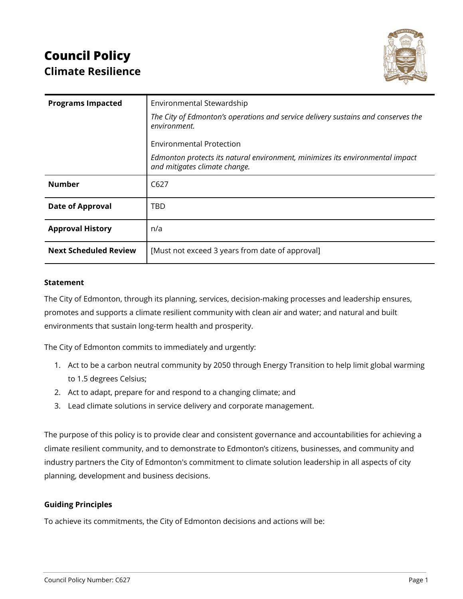# **Council Policy Climate Resilience**



| <b>Programs Impacted</b>     | Environmental Stewardship<br>The City of Edmonton's operations and service delivery sustains and conserves the<br>environment.<br><b>Environmental Protection</b><br>Edmonton protects its natural environment, minimizes its environmental impact |
|------------------------------|----------------------------------------------------------------------------------------------------------------------------------------------------------------------------------------------------------------------------------------------------|
|                              | and mitigates climate change.                                                                                                                                                                                                                      |
| <b>Number</b>                | C627                                                                                                                                                                                                                                               |
| <b>Date of Approval</b>      | TBD                                                                                                                                                                                                                                                |
| <b>Approval History</b>      | n/a                                                                                                                                                                                                                                                |
| <b>Next Scheduled Review</b> | [Must not exceed 3 years from date of approval]                                                                                                                                                                                                    |

#### **Statement**

The City of Edmonton, through its planning, services, decision-making processes and leadership ensures, promotes and supports a climate resilient community with clean air and water; and natural and built environments that sustain long-term health and prosperity.

The City of Edmonton commits to immediately and urgently:

- 1. Act to be a carbon neutral community by 2050 through Energy Transition to help limit global warming to 1.5 degrees Celsius;
- 2. Act to adapt, prepare for and respond to a changing climate; and
- 3. Lead climate solutions in service delivery and corporate management.

The purpose of this policy is to provide clear and consistent governance and accountabilities for achieving a climate resilient community, and to demonstrate to Edmonton's citizens, businesses, and community and industry partners the City of Edmonton's commitment to climate solution leadership in all aspects of city planning, development and business decisions.

### **Guiding Principles**

To achieve its commitments, the City of Edmonton decisions and actions will be: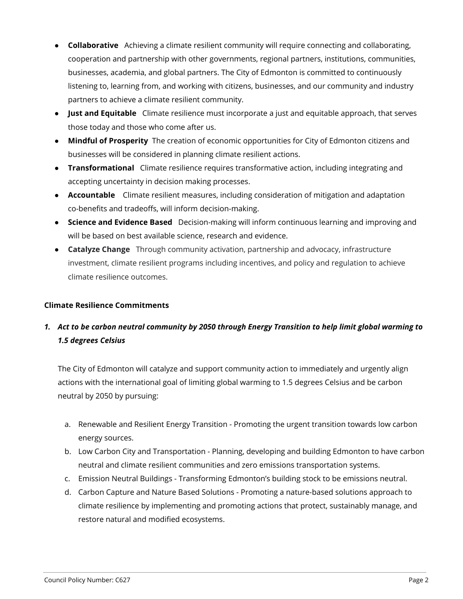- **Collaborative** Achieving a climate resilient community will require connecting and collaborating, cooperation and partnership with other governments, regional partners, institutions, communities, businesses, academia, and global partners. The City of Edmonton is committed to continuously listening to, learning from, and working with citizens, businesses, and our community and industry partners to achieve a climate resilient community.
- **Just and Equitable** Climate resilience must incorporate a just and equitable approach, that serves those today and those who come after us.
- **Mindful of Prosperity** The creation of economic opportunities for City of Edmonton citizens and businesses will be considered in planning climate resilient actions.
- **Transformational** Climate resilience requires transformative action, including integrating and accepting uncertainty in decision making processes.
- **Accountable** Climate resilient measures, including consideration of mitigation and adaptation co-benefits and tradeoffs, will inform decision-making.
- **Science and Evidence Based** Decision-making will inform continuous learning and improving and will be based on best available science, research and evidence.
- **Catalyze Change** Through community activation, partnership and advocacy, infrastructure investment, climate resilient programs including incentives, and policy and regulation to achieve climate resilience outcomes.

# **Climate Resilience Commitments**

# 1. Act to be carbon neutral community by 2050 through Energy Transition to help limit global warming to *1.5 degrees Celsius*

The City of Edmonton will catalyze and support community action to immediately and urgently align actions with the international goal of limiting global warming to 1.5 degrees Celsius and be carbon neutral by 2050 by pursuing:

- a. Renewable and Resilient Energy Transition Promoting the urgent transition towards low carbon energy sources.
- b. Low Carbon City and Transportation Planning, developing and building Edmonton to have carbon neutral and climate resilient communities and zero emissions transportation systems.
- c. Emission Neutral Buildings Transforming Edmonton's building stock to be emissions neutral.
- d. Carbon Capture and Nature Based Solutions Promoting a nature-based solutions approach to climate resilience by implementing and promoting actions that protect, sustainably manage, and restore natural and modified ecosystems.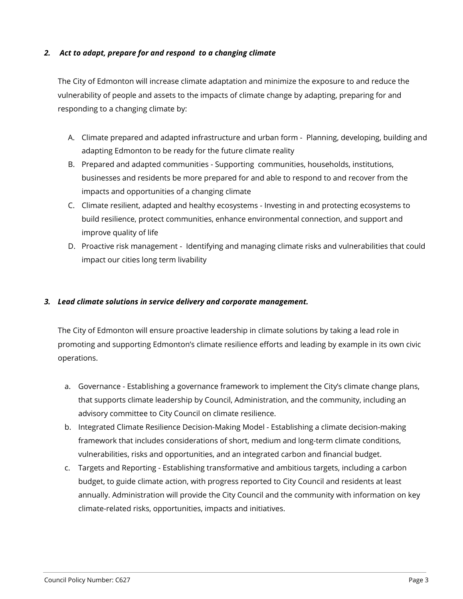### *2. Act to adapt, prepare for and respond to a changing climate*

The City of Edmonton will increase climate adaptation and minimize the exposure to and reduce the vulnerability of people and assets to the impacts of climate change by adapting, preparing for and responding to a changing climate by:

- A. Climate prepared and adapted infrastructure and urban form Planning, developing, building and adapting Edmonton to be ready for the future climate reality
- B. Prepared and adapted communities Supporting communities, households, institutions, businesses and residents be more prepared for and able to respond to and recover from the impacts and opportunities of a changing climate
- C. Climate resilient, adapted and healthy ecosystems Investing in and protecting ecosystems to build resilience, protect communities, enhance environmental connection, and support and improve quality of life
- D. Proactive risk management Identifying and managing climate risks and vulnerabilities that could impact our cities long term livability

### *3. Lead climate solutions in service delivery and corporate management.*

The City of Edmonton will ensure proactive leadership in climate solutions by taking a lead role in promoting and supporting Edmonton's climate resilience efforts and leading by example in its own civic operations.

- a. Governance Establishing a governance framework to implement the City's climate change plans, that supports climate leadership by Council, Administration, and the community, including an advisory committee to City Council on climate resilience.
- b. Integrated Climate Resilience Decision-Making Model Establishing a climate decision-making framework that includes considerations of short, medium and long-term climate conditions, vulnerabilities, risks and opportunities, and an integrated carbon and financial budget.
- c. Targets and Reporting Establishing transformative and ambitious targets, including a carbon budget, to guide climate action, with progress reported to City Council and residents at least annually. Administration will provide the City Council and the community with information on key climate-related risks, opportunities, impacts and initiatives.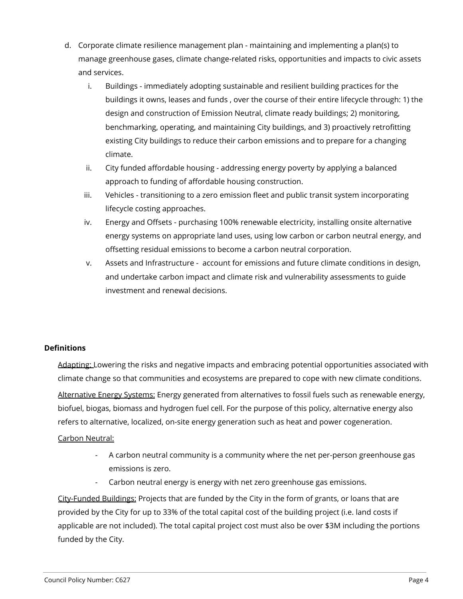- d. Corporate climate resilience management plan maintaining and implementing a plan(s) to manage greenhouse gases, climate change-related risks, opportunities and impacts to civic assets and services.
	- i. Buildings immediately adopting sustainable and resilient building practices for the buildings it owns, leases and funds , over the course of their entire lifecycle through: 1) the design and construction of Emission Neutral, climate ready buildings; 2) monitoring, benchmarking, operating, and maintaining City buildings, and 3) proactively retrofitting existing City buildings to reduce their carbon emissions and to prepare for a changing climate.
	- ii. City funded affordable housing addressing energy poverty by applying a balanced approach to funding of affordable housing construction.
	- iii. Vehicles transitioning to a zero emission fleet and public transit system incorporating lifecycle costing approaches.
	- iv. Energy and Offsets purchasing 100% renewable electricity, installing onsite alternative energy systems on appropriate land uses, using low carbon or carbon neutral energy, and offsetting residual emissions to become a carbon neutral corporation.
	- v. Assets and Infrastructure account for emissions and future climate conditions in design, and undertake carbon impact and climate risk and vulnerability assessments to guide investment and renewal decisions.

# **Definitions**

Adapting: Lowering the risks and negative impacts and embracing potential opportunities associated with climate change so that communities and ecosystems are prepared to cope with new climate conditions. Alternative Energy Systems: Energy generated from alternatives to fossil fuels such as renewable energy, biofuel, biogas, biomass and hydrogen fuel cell. For the purpose of this policy, alternative energy also refers to alternative, localized, on-site energy generation such as heat and power cogeneration.

### Carbon Neutral:

- A carbon neutral community is a community where the net per-person greenhouse gas emissions is zero.
- Carbon neutral energy is energy with net zero greenhouse gas emissions.

City-Funded Buildings: Projects that are funded by the City in the form of grants, or loans that are provided by the City for up to 33% of the total capital cost of the building project (i.e. land costs if applicable are not included). The total capital project cost must also be over \$3M including the portions funded by the City.